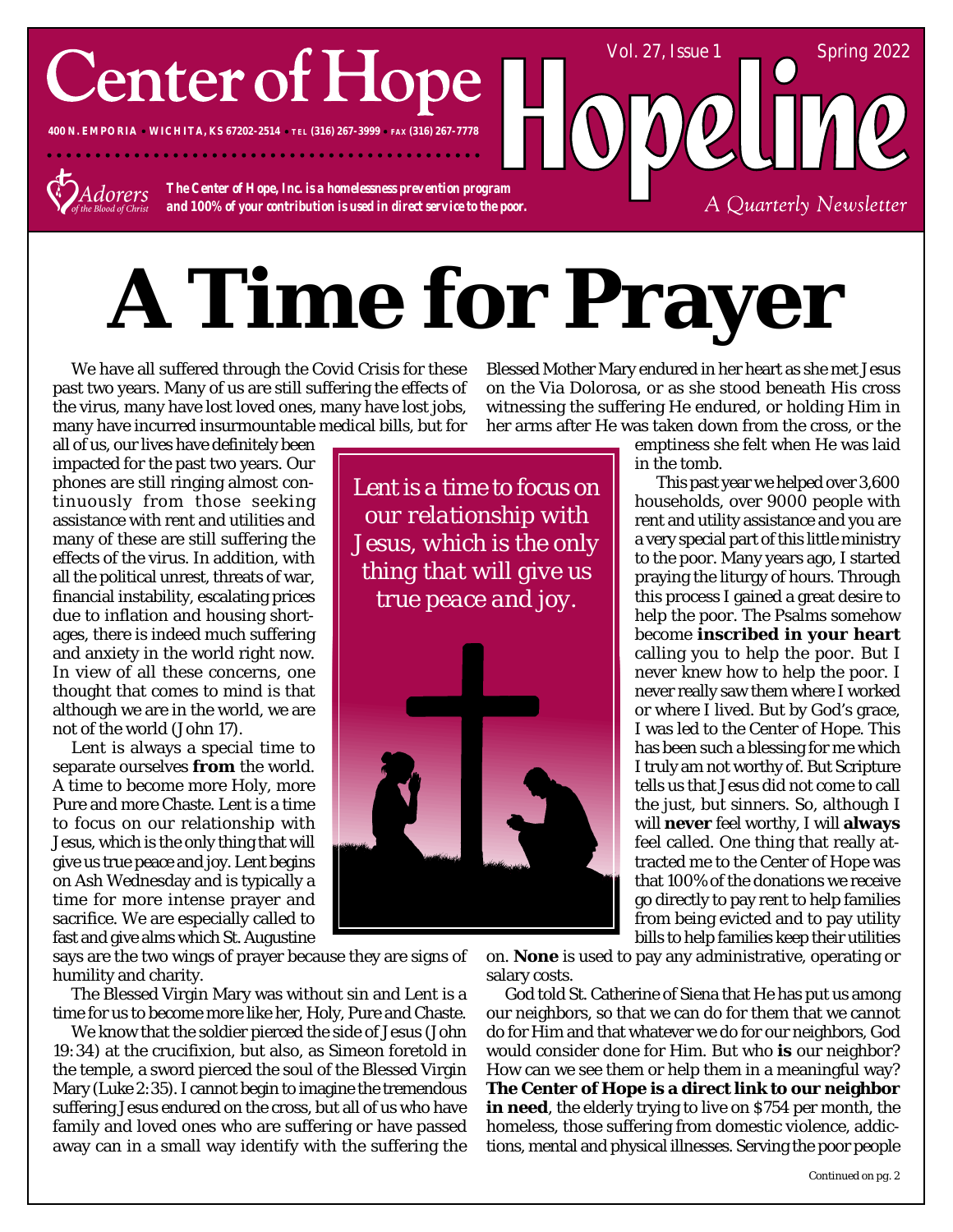## **Center of Hope**

**400 N. EMPORIA WICHITA, KS 67202-2514 TEL (316) 267-3999 FAX (316) 267-7778**



*The Center of Hope, Inc. is a homelessness prevention program and 100% of your contribution is used in direct service to the poor.*

# **A Time for Prayer**

We have all suffered through the Covid Crisis for these past two years. Many of us are still suffering the effects of the virus, many have lost loved ones, many have lost jobs, many have incurred insurmountable medical bills, but for

all of us, our lives have definitely been impacted for the past two years. Our phones are still ringing almost continuously from those seeking assistance with rent and utilities and many of these are still suffering the effects of the virus. In addition, with all the political unrest, threats of war, financial instability, escalating prices due to inflation and housing shortages, there is indeed much suffering and anxiety in the world right now. In view of all these concerns, one thought that comes to mind is that although we are in the world, we are not of the world (*John 17*).

Lent is always a special time to separate ourselves **from** the world. A time to become more Holy, more Pure and more Chaste. Lent is a time to focus on our relationship with Jesus, which is the only thing that will give us true peace and joy. Lent begins on Ash Wednesday and is typically a time for more intense prayer and sacrifice. We are especially called to fast and give alms which St. Augustine

says are the two wings of prayer because they are signs of humility and charity.

The Blessed Virgin Mary was without sin and Lent is a time for us to become more like her, Holy, Pure and Chaste.

We know that the soldier pierced the side of Jesus (*John 19:34*) at the crucifixion, but also, as Simeon foretold in the temple, a sword pierced the soul of the Blessed Virgin Mary (*Luke 2:35*). I cannot begin to imagine the tremendous suffering Jesus endured on the cross, but all of us who have family and loved ones who are suffering or have passed away can in a small way identify with the suffering the

Blessed Mother Mary endured in her heart as she met Jesus on the Via Dolorosa, or as she stood beneath His cross witnessing the suffering He endured, or holding Him in her arms after He was taken down from the cross, or the

*Lent is a time to focus on our relationship with Jesus, which is the only thing that will give us true peace and joy.*



emptiness she felt when He was laid in the tomb.

Vol. 27, Issue 1 Spring 2022

A Quarterly Newsletter

 This past year we helped over 3,600 households, over 9000 people with rent and utility assistance and you are a very special part of this little ministry to the poor. Many years ago, I started praying the liturgy of hours. Through this process I gained a great desire to help the poor. The Psalms somehow become **inscribed in your heart** calling you to help the poor. But I never knew how to help the poor. I never really saw them where I worked or where I lived. But by God's grace, I was led to the Center of Hope. This has been such a blessing for me which I truly am not worthy of. But Scripture tells us that Jesus did not come to call the just, but sinners. So, although I will **never** feel worthy, I will **always** feel called. One thing that really attracted me to the Center of Hope was that 100% of the donations we receive go directly to pay rent to help families from being evicted and to pay utility bills to help families keep their utilities

on. **None** is used to pay any administrative, operating or salary costs.

God told St. Catherine of Siena that He has put us among our neighbors, so that we can do for them that we cannot do for Him and that whatever we do for our neighbors, God would consider done for Him. But who **is** our neighbor? How can we see them or help them in a meaningful way? **The Center of Hope is a direct link to our neighbor in need**, the elderly trying to live on \$754 per month, the homeless, those suffering from domestic violence, addictions, mental and physical illnesses. Serving the poor people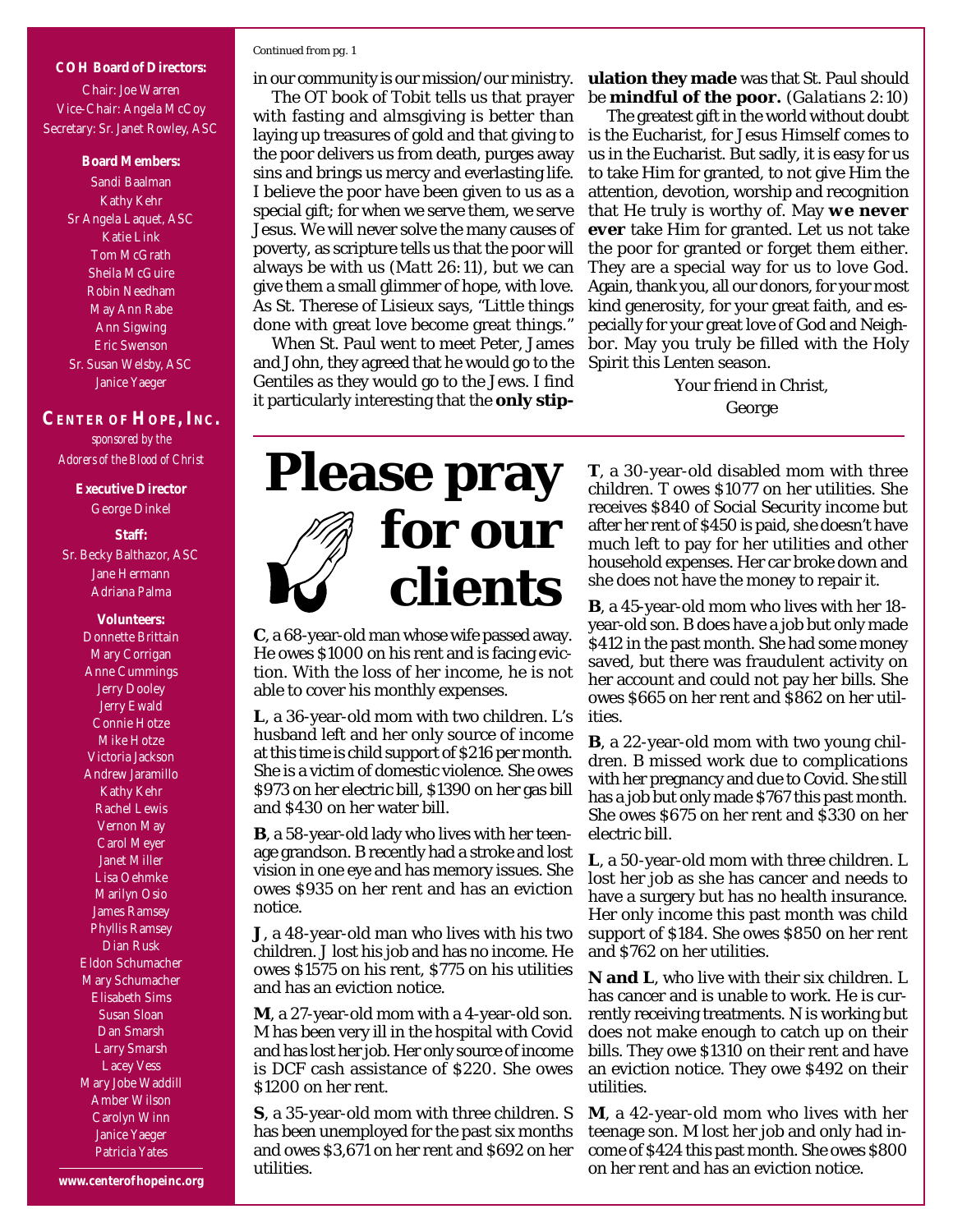## **COH Board of Directors:** Chair: Joe Warren Vice-Chair: Angela McCoy Secretary: Sr. Janet Rowley, ASC

### **Board Members:**

Sandi Baalman Kathy Kehr Sr Angela Laquet, ASC Katie Link Tom McGrath Sheila McGuire Robin Needham May Ann Rabe Ann Sigwing Eric Swenson Sr. Susan Welsby, ASC Janice Yaeger

## **CENTER OF HOPE, INC.** *sponsored by the Adorers of the Blood of Christ*

**Executive Director** George Dinkel

### **Staff:**

Sr. Becky Balthazor, ASC Jane Hermann Adriana Palma

> **Volunteers:** Donnette Brittain Mary Corrigan Anne Cummings Jerry Dooley Jerry Ewald Connie Hotze Mike Hotze Victoria Jackson Andrew Jaramillo Kathy Kehr Rachel Lewis Vernon May Carol Meyer Janet Miller Lisa Oehmke Marilyn Osio James Ramsey Phyllis Ramsey Dian Rusk Eldon Schumacher Mary Schumacher Elisabeth Sims Susan Sloan Dan Smarsh Larry Smarsh Lacey Vess Mary Jobe Waddill Amber Wilson Carolyn Winn Janice Yaeger Patricia Yates

### *Continued from pg. 1*

in our community is our mission/our ministry. The OT book of Tobit tells us that prayer with fasting and almsgiving is better than laying up treasures of gold and that giving to the poor delivers us from death, purges away sins and brings us mercy and everlasting life. I believe the poor have been given to us as a special gift; for when we serve them, we serve Jesus. We will never solve the many causes of poverty, as scripture tells us that the poor will always be with us (*Matt 26:11*), but we can give them a small glimmer of hope, with love. As St. Therese of Lisieux says, "Little things done with great love become great things."

When St. Paul went to meet Peter, James and John, they agreed that he would go to the Gentiles as they would go to the Jews. I find it particularly interesting that the **only stip-** **ulation they made** was that St. Paul should be **mindful of the poor.** (*Galatians 2:10*)

The greatest gift in the world without doubt is the Eucharist, for Jesus Himself comes to us in the Eucharist. But sadly, it is easy for us to take Him for granted, to not give Him the attention, devotion, worship and recognition that He truly is worthy of. May *we never ever* take Him for granted. Let us not take the poor for granted or forget them either. They are a special way for us to love God. Again, thank you, all our donors, for your most kind generosity, for your great faith, and especially for your great love of God and Neighbor. May you truly be filled with the Holy Spirit this Lenten season.

> Your friend in Christ, George



**C**, a 68-year-old man whose wife passed away. He owes \$1000 on his rent and is facing eviction. With the loss of her income, he is not able to cover his monthly expenses.

**L**, a 36-year-old mom with two children. L's husband left and her only source of income at this time is child support of \$216 per month. She is a victim of domestic violence. She owes \$973 on her electric bill, \$1390 on her gas bill and \$430 on her water bill.

**B**, a 58-year-old lady who lives with her teenage grandson. B recently had a stroke and lost vision in one eye and has memory issues. She owes \$935 on her rent and has an eviction notice.

**J**, a 48-year-old man who lives with his two children. J lost his job and has no income. He owes \$1575 on his rent, \$775 on his utilities and has an eviction notice.

**M**, a 27-year-old mom with a 4-year-old son. M has been very ill in the hospital with Covid and has lost her job. Her only source of income is DCF cash assistance of \$220. She owes \$1200 on her rent.

**S**, a 35-year-old mom with three children. S has been unemployed for the past six months and owes \$3,671 on her rent and \$692 on her utilities.

**T**, a 30-year-old disabled mom with three children. T owes \$1077 on her utilities. She receives \$840 of Social Security income but after her rent of \$450 is paid, she doesn't have much left to pay for her utilities and other household expenses. Her car broke down and she does not have the money to repair it.

**B**, a 45-year-old mom who lives with her 18 year-old son. B does have a job but only made \$412 in the past month. She had some money saved, but there was fraudulent activity on her account and could not pay her bills. She owes \$665 on her rent and \$862 on her utilities.

**B**, a 22-year-old mom with two young children. B missed work due to complications with her pregnancy and due to Covid. She still has a job but only made \$767 this past month. She owes \$675 on her rent and \$330 on her electric bill.

**L**, a 50-year-old mom with three children. L lost her job as she has cancer and needs to have a surgery but has no health insurance. Her only income this past month was child support of \$184. She owes \$850 on her rent and \$762 on her utilities.

**N and L**, who live with their six children. L has cancer and is unable to work. He is currently receiving treatments. N is working but does not make enough to catch up on their bills. They owe \$1310 on their rent and have an eviction notice. They owe \$492 on their utilities.

**M**, a 42-year-old mom who lives with her teenage son. M lost her job and only had income of \$424 this past month. She owes \$800 on her rent and has an eviction notice.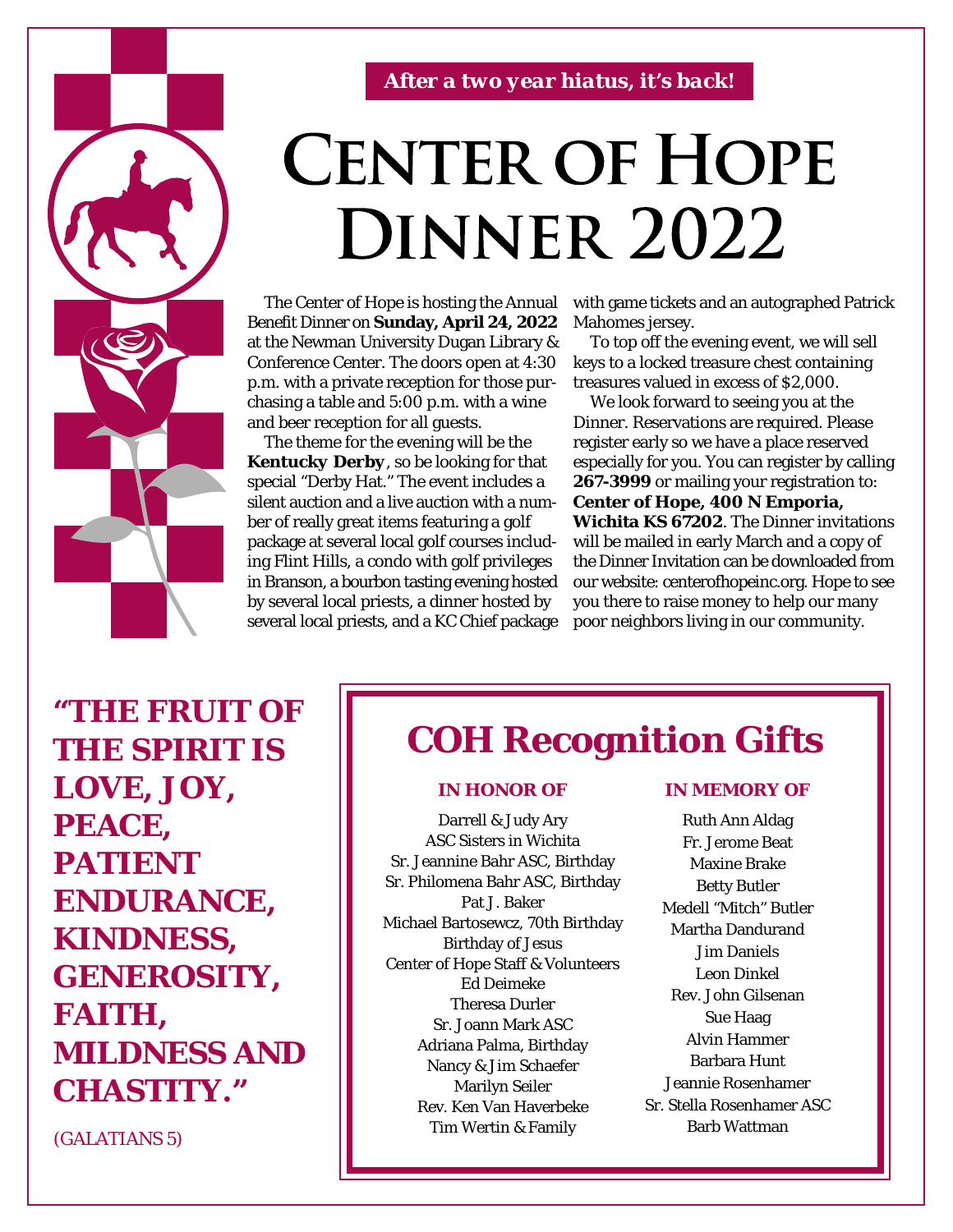

*After a two year hiatus, it's back!*

## **CENTER OF HOPE DINNER 2022**

The Center of Hope is hosting the Annual Benefit Dinner on **Sunday, April 24, 2022** at the Newman University Dugan Library & Conference Center. The doors open at 4:30 p.m. with a private reception for those purchasing a table and 5:00 p.m. with a wine and beer reception for all guests.

The theme for the evening will be the *Kentucky Derby*, so be looking for that special "Derby Hat." The event includes a silent auction and a live auction with a number of really great items featuring a golf package at several local golf courses including Flint Hills, a condo with golf privileges in Branson, a bourbon tasting evening hosted by several local priests, a dinner hosted by several local priests, and a KC Chief package with game tickets and an autographed Patrick Mahomes jersey.

To top off the evening event, we will sell keys to a locked treasure chest containing treasures valued in excess of \$2,000.

We look forward to seeing you at the Dinner. Reservations are required. Please register early so we have a place reserved especially for you. You can register by calling **267-3999** or mailing your registration to: **Center of Hope, 400 N Emporia, Wichita KS 67202**. The Dinner invitations will be mailed in early March and a copy of the Dinner Invitation can be downloaded from our website: centerofhopeinc.org. Hope to see you there to raise money to help our many poor neighbors living in our community.

**"THE FRUIT OF THE SPIRIT IS LOVE, JOY, PEACE, PATIENT ENDURANCE, KINDNESS, GENEROSITY, FAITH, MILDNESS AND CHASTITY."**

**IN HONOR OF IN MEMORY OF** Darrell & Judy Ary

**COH Recognition Gifts**

ASC Sisters in Wichita Sr. Jeannine Bahr ASC, Birthday Sr. Philomena Bahr ASC, Birthday Pat J. Baker Michael Bartosewcz, 70th Birthday Birthday of Jesus Center of Hope Staff & Volunteers Ed Deimeke Theresa Durler Sr. Joann Mark ASC Adriana Palma, Birthday Nancy & Jim Schaefer Marilyn Seiler Rev. Ken Van Haverbeke Tim Wertin & Family

Ruth Ann Aldag Fr. Jerome Beat Maxine Brake Betty Butler Medell "Mitch" Butler Martha Dandurand Jim Daniels Leon Dinkel Rev. John Gilsenan Sue Haag Alvin Hammer Barbara Hunt Jeannie Rosenhamer Sr. Stella Rosenhamer ASC Barb Wattman

(GALATIANS 5)